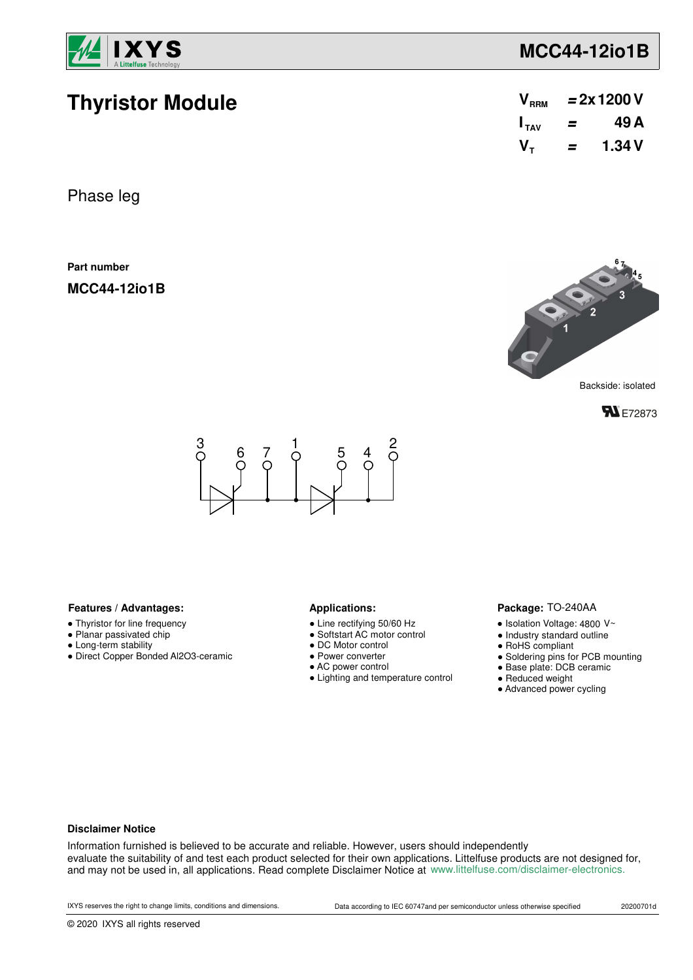

**Thyristor Module**

# **MCC44-12io1B**

| V <sub>RRM</sub> | $= 2x 1200 V$ |        |  |
|------------------|---------------|--------|--|
| $I_{TAV}$        | =             | 49 A   |  |
| $V_{\tau}$       | =             | 1.34 V |  |

Phase leg

**Part number**

**MCC44-12io1B**



**FL** E72873



### Features / Advantages: **All Applications: Applications:**

- Thyristor for line frequency
- Planar passivated chip
- Long-term stability
- Direct Copper Bonded Al2O3-ceramic

- Line rectifying 50/60 Hz
- Softstart AC motor control
- DC Motor control
- Power converter
- AC power control
- Lighting and temperature control

### Package: TO-240AA

- $\bullet$  Isolation Voltage: 4800 V~
- Industry standard outline
- RoHS compliant
- Soldering pins for PCB mounting
- Base plate: DCB ceramic
- Reduced weight
- Advanced power cycling

### **Disclaimer Notice**

Information furnished is believed to be accurate and reliable. However, users should independently evaluate the suitability of and test each product selected for their own applications. Littelfuse products are not designed for, and may not be used in, all applications. Read complete Disclaimer Notice at www.littelfuse.com/disclaimer-electronics.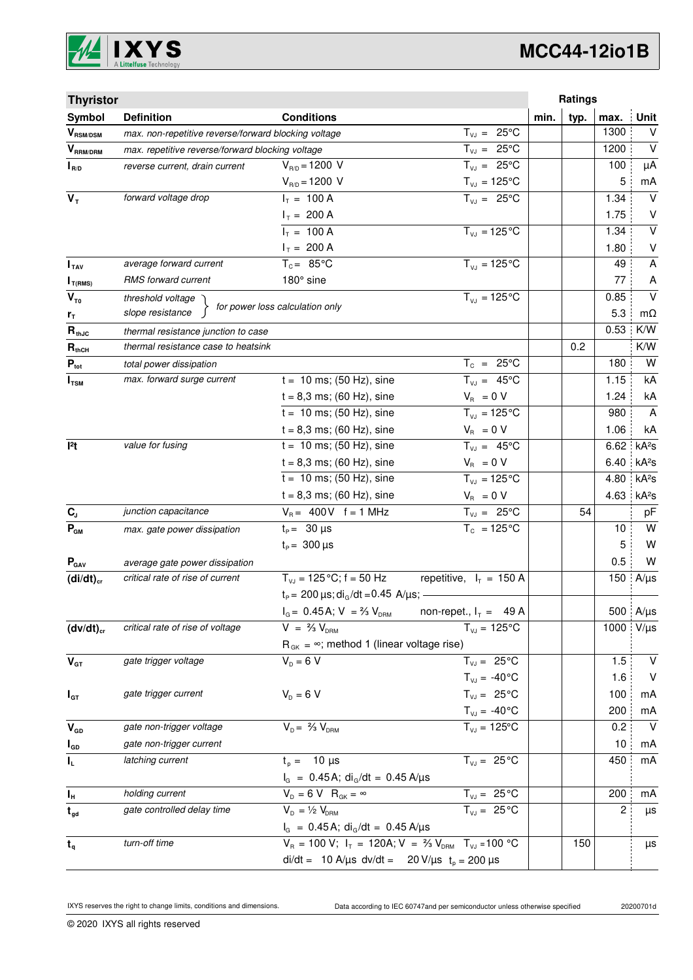

# **MCC44-12io1B**

| <b>Thyristor</b>                      |                                                                                |                                                                                   |                                | Ratings      |      |                         |
|---------------------------------------|--------------------------------------------------------------------------------|-----------------------------------------------------------------------------------|--------------------------------|--------------|------|-------------------------|
| Symbol                                | <b>Definition</b>                                                              | <b>Conditions</b>                                                                 |                                | typ.<br>min. | max. | <b>Unit</b>             |
| $\bm{V}_{\text{RSM/DSM}}$             | $T_{VJ} = 25^{\circ}C$<br>max. non-repetitive reverse/forward blocking voltage |                                                                                   |                                |              | 1300 | $\vee$                  |
| $V_{\scriptscriptstyle{\sf RRM/DRM}}$ | max. repetitive reverse/forward blocking voltage                               |                                                                                   | $T_{VJ} = 25^{\circ}C$         |              | 1200 | $\vee$                  |
| $I_{R/D}$                             | reverse current, drain current                                                 | $V_{R/D} = 1200 V$                                                                | $T_{V,I} = 25^{\circ}C$        |              | 100  | μA                      |
|                                       |                                                                                | $V_{R/D} = 1200 V$                                                                | $T_{\nu J} = 125$ °C           |              | 5    | mA                      |
| $V_T$                                 | forward voltage drop                                                           | $I_T = 100 A$                                                                     | $T_{V,1} = 25^{\circ}C$        |              | 1.34 | $\vee$                  |
|                                       |                                                                                | $I_T = 200 A$                                                                     |                                |              | 1.75 | V                       |
|                                       |                                                                                | $I_T = 100 A$                                                                     | $T_{VJ} = 125$ °C              |              | 1.34 | $\overline{\mathsf{v}}$ |
|                                       |                                                                                | $I_T = 200 A$                                                                     |                                |              | 1.80 | $\sf V$                 |
| I <sub>TAV</sub>                      | average forward current                                                        | $T_c = 85^{\circ}$ C                                                              | $T_{V1} = 125^{\circ}C$        |              | 49   | $\mathsf{A}$            |
| $I_{T(RMS)}$                          | RMS forward current                                                            | 180° sine                                                                         |                                |              | 77   | A                       |
| $V_{\tau_0}$                          | threshold voltage                                                              | for power loss calculation only                                                   | $T_{V,1} = 125^{\circ}C$       |              | 0.85 | $\vee$                  |
| $r_{\tau}$                            | slope resistance                                                               |                                                                                   |                                |              | 5.3  | mΩ                      |
| $R_{thJC}$                            | thermal resistance junction to case                                            |                                                                                   |                                |              | 0.53 | K/W                     |
| $R_{thCH}$                            | thermal resistance case to heatsink                                            |                                                                                   |                                | 0.2          |      | K/W                     |
| $P_{\text{tot}}$                      | total power dissipation                                                        |                                                                                   | $T_c = 25^{\circ}C$            |              | 180  | W                       |
| $I_{\text{TSM}}$                      | max. forward surge current                                                     | $t = 10$ ms; (50 Hz), sine                                                        | $T_{VJ} = 45^{\circ}C$         |              | 1.15 | kA                      |
|                                       |                                                                                | $t = 8,3$ ms; (60 Hz), sine                                                       | $V_R = 0 V$                    |              | 1.24 | kA                      |
|                                       |                                                                                | $t = 10$ ms; (50 Hz), sine                                                        | $T_{VJ} = 125^{\circ}C$        |              | 980  | $\overline{A}$          |
|                                       |                                                                                | $t = 8,3$ ms; (60 Hz), sine                                                       | $V_{\rm R} = 0 V$              |              | 1.06 | kA                      |
| 12t                                   | value for fusing                                                               | $t = 10$ ms; (50 Hz), sine                                                        | $T_{VJ} = 45^{\circ}C$         |              | 6.62 | kA <sup>2</sup> S       |
|                                       |                                                                                | $t = 8,3$ ms; (60 Hz), sine                                                       | $V_{\rm R} = 0 V$              |              | 6.40 | kA <sup>2</sup> S       |
|                                       |                                                                                | $t = 10$ ms; (50 Hz), sine                                                        | $T_{VJ} = 125$ °C              |              | 4.80 | kA <sup>2</sup> s       |
|                                       |                                                                                | $t = 8.3$ ms; (60 Hz), sine                                                       | $V_{\rm R} = 0 V$              |              | 4.63 | kA <sup>2</sup> S       |
| $\mathbf{C}_\mathrm{J}$               | junction capacitance                                                           | $V_B = 400V$ f = 1 MHz                                                            | $T_{VJ} = 25^{\circ}C$         |              | 54   | pF                      |
| $P_{GM}$                              | max. gate power dissipation                                                    | $t_{p} = 30 \,\mu s$                                                              | $T_c = 125^{\circ}C$           |              | 10   | W                       |
|                                       |                                                                                | $t_{\rm p} = 300 \,\mu s$                                                         |                                |              | 5    | W                       |
| $P_{\text{GAV}}$                      | average gate power dissipation                                                 |                                                                                   |                                |              | 0.5  | W                       |
| $(di/dt)_{cr}$                        | critical rate of rise of current                                               | $T_{VJ}$ = 125 °C; f = 50 Hz                                                      | repetitive, $I_T = 150$ A      |              | 150  | $A/\mu s$               |
|                                       |                                                                                | $t_P$ = 200 $\mu$ s; di <sub>G</sub> /dt = 0.45 A/ $\mu$ s; -                     |                                |              |      |                         |
|                                       |                                                                                | $I_G = 0.45$ A; $V = \frac{2}{3} V_{DRM}$                                         | non-repet., $I_T = 49$ A       |              |      | 500 A/µs                |
| $(dv/dt)_{cr}$                        | critical rate of rise of voltage                                               | $V = \frac{2}{3} V_{DBM}$                                                         | $T_{VJ} = 125^{\circ}C$        |              | 1000 | $V/\mu s$               |
|                                       |                                                                                | $R_{gK} = \infty$ ; method 1 (linear voltage rise)                                |                                |              |      |                         |
| $V_{GT}$                              | gate trigger voltage                                                           | $V_{D} = 6 V$                                                                     | $T_{VJ} = 25^{\circ}C$         |              | 1.5  | $\vee$                  |
|                                       |                                                                                |                                                                                   | $T_{VJ} = -40\degree C$        |              | 1.6  | $\vee$                  |
| $I_{GT}$                              | gate trigger current                                                           | $V_{D} = 6 V$                                                                     | $T_{VJ} = 25^{\circ}C$         |              | 100  | mA                      |
|                                       |                                                                                |                                                                                   | $T_{\text{VJ}} = -40^{\circ}C$ |              | 200  | mA                      |
| $V_{GD}$                              | gate non-trigger voltage                                                       | $V_{D} = \frac{2}{3} V_{DBM}$                                                     | $T_{VJ} = 125$ °C              |              | 0.2  | $\vee$                  |
| $I_{GD}$                              | gate non-trigger current                                                       |                                                                                   |                                |              | 10   | mA                      |
| $I_L$                                 | latching current                                                               | $t_{p} = 10 \mu s$                                                                | $T_{VJ} = 25^{\circ}C$         |              | 450  | mA                      |
|                                       |                                                                                | $I_G = 0.45 A$ ; di <sub>G</sub> /dt = 0.45 A/µs                                  |                                |              |      |                         |
| $I_{\rm H}$                           | holding current                                                                | $V_{D} = 6 V R_{GK} = \infty$                                                     | $T_{VJ} = 25^{\circ}C$         |              | 200  | mA                      |
| $t_{gd}$                              | gate controlled delay time                                                     | $V_{D} = \frac{1}{2} V_{DRM}$                                                     | $T_{VJ} = 25 °C$               |              | 2    | μs                      |
|                                       |                                                                                | $I_G = 0.45 A$ ; di <sub>G</sub> /dt = 0.45 A/µs                                  |                                |              |      |                         |
| $t_{q}$                               | turn-off time                                                                  | $V_R = 100 V$ ; $I_T = 120A$ ; $V = \frac{2}{3} V_{DRM}$ T <sub>VJ</sub> = 100 °C |                                | 150          |      | μs                      |
|                                       |                                                                                | di/dt = 10 A/µs dv/dt = 20 V/µs $t_p = 200 \mu s$                                 |                                |              |      |                         |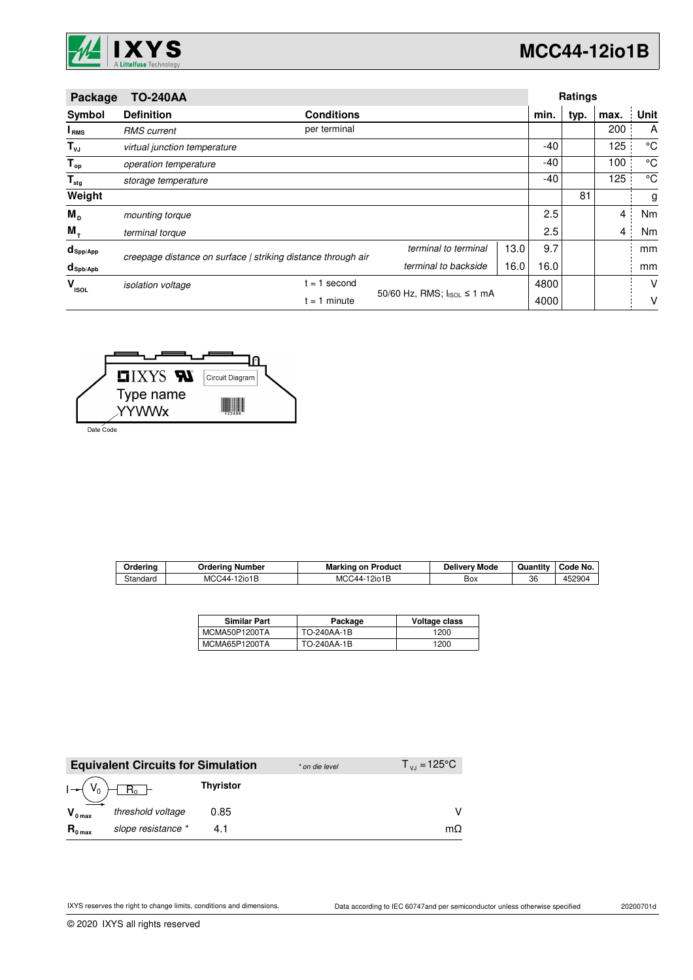

| Package                 | <b>TO-240AA</b>              |                                                              |                            |      |      | Ratings |                |             |
|-------------------------|------------------------------|--------------------------------------------------------------|----------------------------|------|------|---------|----------------|-------------|
| Symbol                  | <b>Definition</b>            | <b>Conditions</b>                                            |                            |      | min. | typ.    | max.           | Unit        |
| I <sub>RMS</sub>        | <b>RMS</b> current           | per terminal                                                 |                            |      |      |         | 200            | A           |
| $T_{\nu J}$             | virtual junction temperature |                                                              |                            |      | -40  |         | 125            | °C          |
| $T_{op}$                | operation temperature        |                                                              |                            |      | -40  |         | 100            | $^{\circ}C$ |
| $\mathsf{T}_{\sf{stg}}$ | storage temperature          |                                                              |                            |      | -40  |         | 125            | °C          |
| Weight                  |                              |                                                              |                            |      |      | 81      |                | g           |
| $M_{\rm p}$             | mounting torque              |                                                              |                            |      | 2.5  |         | 4              | Nm          |
| $M_{+}$                 | terminal torque              |                                                              |                            |      | 2.5  |         | $\overline{4}$ | Nm          |
| $d_{\mathsf{Spp/App}}$  |                              | creepage distance on surface   striking distance through air | terminal to terminal       | 13.0 | 9.7  |         |                | mm          |
| $d_{\text{sph/Apb}}$    |                              |                                                              | terminal to backside       | 16.0 | 16.0 |         |                | mm          |
| v<br><b>ISOL</b>        | <i>isolation</i> voltage     | $= 1$ second                                                 |                            |      | 4800 |         |                | V           |
|                         |                              | $= 1$ minute                                                 | 50/60 Hz, RMS; IsoL ≤ 1 mA |      | 4000 |         |                | v           |



Date Code

| Orderina | )rderina<br>Number  | Marking<br>on Product | Deliverv Mode | $\cdot$ .<br>Quantitv | Code No. |
|----------|---------------------|-----------------------|---------------|-----------------------|----------|
| Standard | MCC44-<br>l 2io 1 E | MCC44-12io1B          | ∽<br>Вох      | 36                    | 452904   |

| <b>Similar Part</b> | Package     | Voltage class |
|---------------------|-------------|---------------|
| MCMA50P1200TA       | TO-240AA-1B | 1200          |
| MCMA65P1200TA       | TO-240AA-1B | 1200          |

|                     | <b>Equivalent Circuits for Simulation</b> |                  | * on die level | $T_{\rm{VJ}} = 125^{\circ}C$ |
|---------------------|-------------------------------------------|------------------|----------------|------------------------------|
|                     | $R_0$ –                                   | <b>Thyristor</b> |                |                              |
| $V_{0 \text{ max}}$ | threshold voltage                         | 0.85             |                |                              |
| $R_{0 \text{ max}}$ | slope resistance *                        |                  |                | mΩ                           |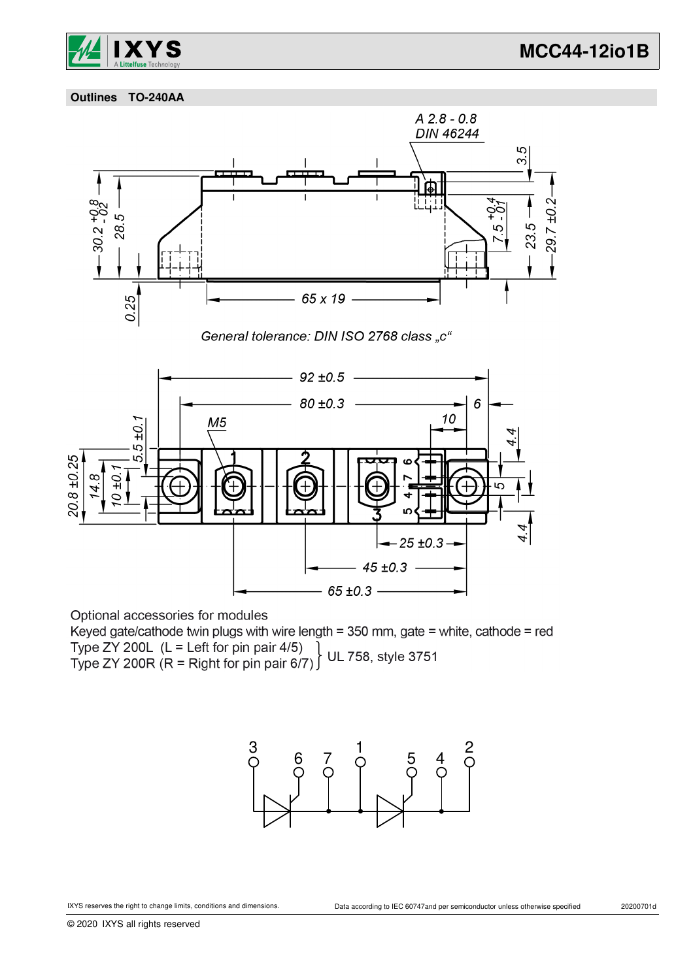

 **Outlines TO-240AA**



Optional accessories for modules

Keyed gate/cathode twin plugs with wire length = 350 mm, gate = white, cathode = red Type ZY 200L (L = Left for pin pair 4/5)<br>Type ZY 200R (R = Right for pin pair 6/7) UL 758, style 3751

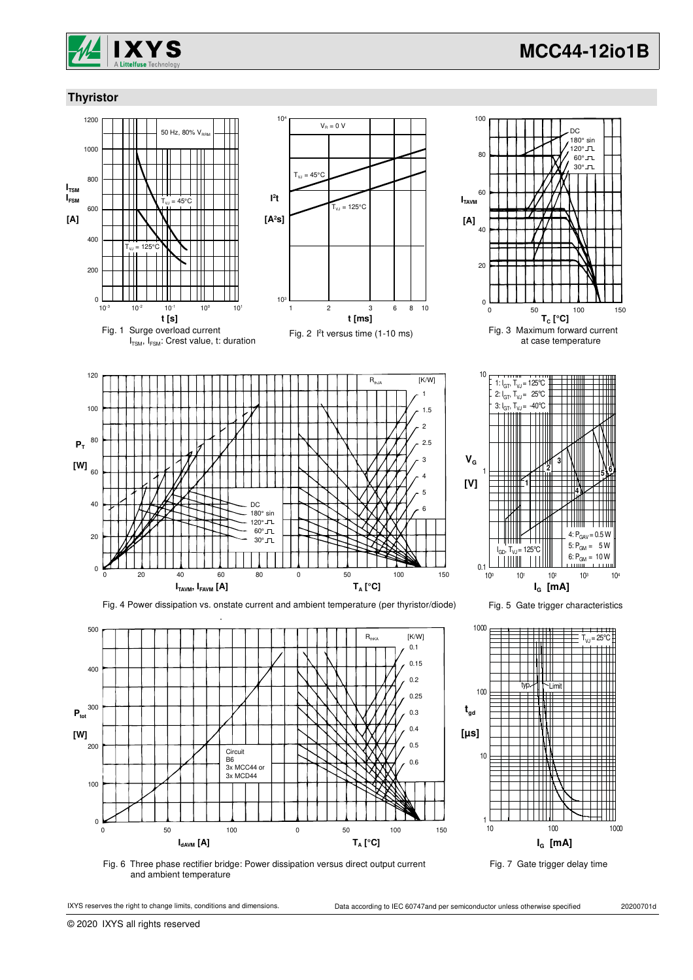

## **Thyristor**







 $-0.5W$ 

**5 6**

Fig. 6 Three phase rectifier bridge: Power dissipation versus direct output current and ambient temperature